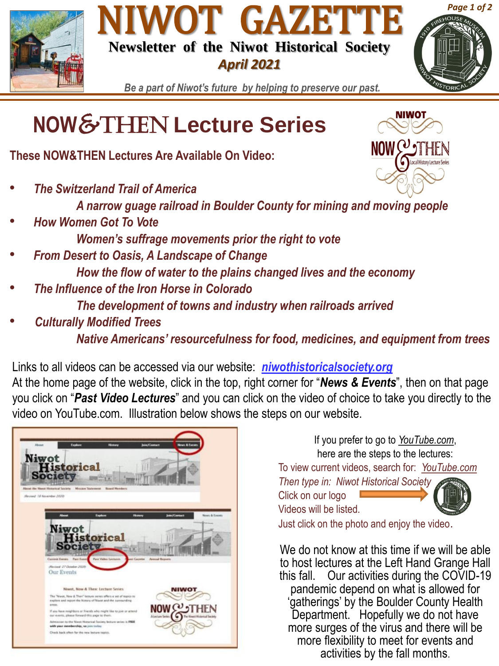





NIWOT

 $\textsf{NOW}(v_2)$ 

*Be a part of Niwot's future by helping to preserve our past.*

## **NOW**&Then **Lecture Series**

**These NOW&THEN Lectures Are Available On Video:**

• *The Switzerland Trail of America*

*A narrow guage railroad in Boulder County for mining and moving people* 

- *How Women Got To Vote Women's suffrage movements prior the right to vote*
- *From Desert to Oasis, A Landscape of Change How the flow of water to the plains changed lives and the economy*
- *The Influence of the Iron Horse in Colorado The development of towns and industry when railroads arrived*
- *Culturally Modified Trees*

*Native Americans' resourcefulness for food, medicines, and equipment from trees* 

Links to all videos can be accessed via our website: *niwothistoricalsociety.org* At the home page of the website, click in the top, right corner for "*News & Events*", then on that page you click on "*Past Video Lectures*" and you can click on the video of choice to take you directly to the video on YouTube.com. Illustration below shows the steps on our website.



If you prefer to go to *YouTube.com*, here are the steps to the lectures: To view current videos, search for: *YouTube.com Then type in: Niwot Historical Society* Click on our logo



Just click on the photo and enjoy the video.

Videos will be listed.

We do not know at this time if we will be able to host lectures at the Left Hand Grange Hall this fall. Our activities during the COVID-19 pandemic depend on what is allowed for 'gatherings' by the Boulder County Health Department. Hopefully we do not have more surges of the virus and there will be more flexibility to meet for events and activities by the fall months.